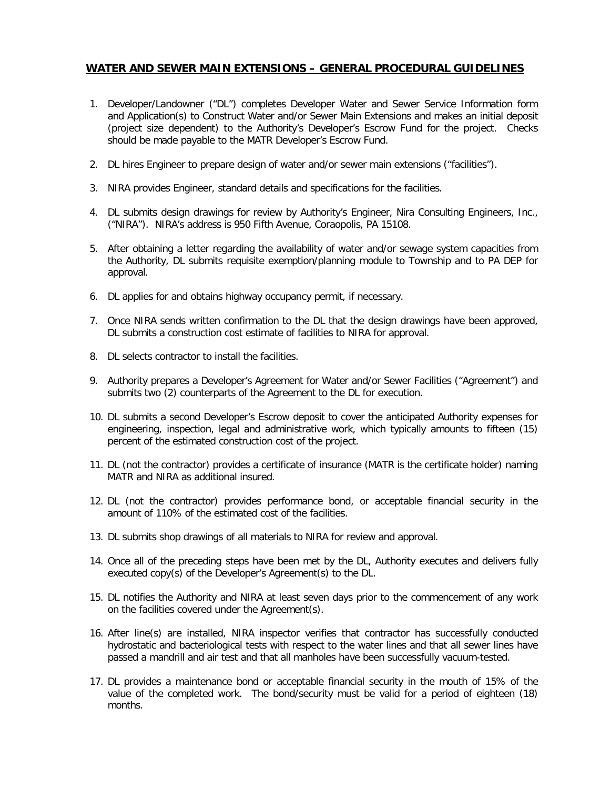## **WATER AND SEWER MAIN EXTENSIONS – GENERAL PROCEDURAL GUIDELINES**

- 1. Developer/Landowner ("DL") completes Developer Water and Sewer Service Information form and Application(s) to Construct Water and/or Sewer Main Extensions and makes an initial deposit (project size dependent) to the Authority's Developer's Escrow Fund for the project. Checks should be made payable to the MATR Developer's Escrow Fund.
- 2. DL hires Engineer to prepare design of water and/or sewer main extensions ("facilities").
- 3. NIRA provides Engineer, standard details and specifications for the facilities.
- 4. DL submits design drawings for review by Authority's Engineer, Nira Consulting Engineers, Inc., ("NIRA"). NIRA's address is 950 Fifth Avenue, Coraopolis, PA 15108.
- 5. After obtaining a letter regarding the availability of water and/or sewage system capacities from the Authority, DL submits requisite exemption/planning module to Township and to PA DEP for approval.
- 6. DL applies for and obtains highway occupancy permit, if necessary.
- 7. Once NIRA sends written confirmation to the DL that the design drawings have been approved, DL submits a construction cost estimate of facilities to NIRA for approval.
- 8. DL selects contractor to install the facilities.
- 9. Authority prepares a Developer's Agreement for Water and/or Sewer Facilities ("Agreement") and submits two (2) counterparts of the Agreement to the DL for execution.
- 10. DL submits a second Developer's Escrow deposit to cover the anticipated Authority expenses for engineering, inspection, legal and administrative work, which typically amounts to fifteen (15) percent of the estimated construction cost of the project.
- 11. DL (not the contractor) provides a certificate of insurance (MATR is the certificate holder) naming MATR and NIRA as additional insured.
- 12. DL (not the contractor) provides performance bond, or acceptable financial security in the amount of 110% of the estimated cost of the facilities.
- 13. DL submits shop drawings of all materials to NIRA for review and approval.
- 14. Once all of the preceding steps have been met by the DL, Authority executes and delivers fully executed copy(s) of the Developer's Agreement(s) to the DL.
- 15. DL notifies the Authority and NIRA at least seven days prior to the commencement of any work on the facilities covered under the Agreement(s).
- 16. After line(s) are installed, NIRA inspector verifies that contractor has successfully conducted hydrostatic and bacteriological tests with respect to the water lines and that all sewer lines have passed a mandrill and air test and that all manholes have been successfully vacuum-tested.
- 17. DL provides a maintenance bond or acceptable financial security in the mouth of 15% of the value of the completed work. The bond/security must be valid for a period of eighteen (18) months.